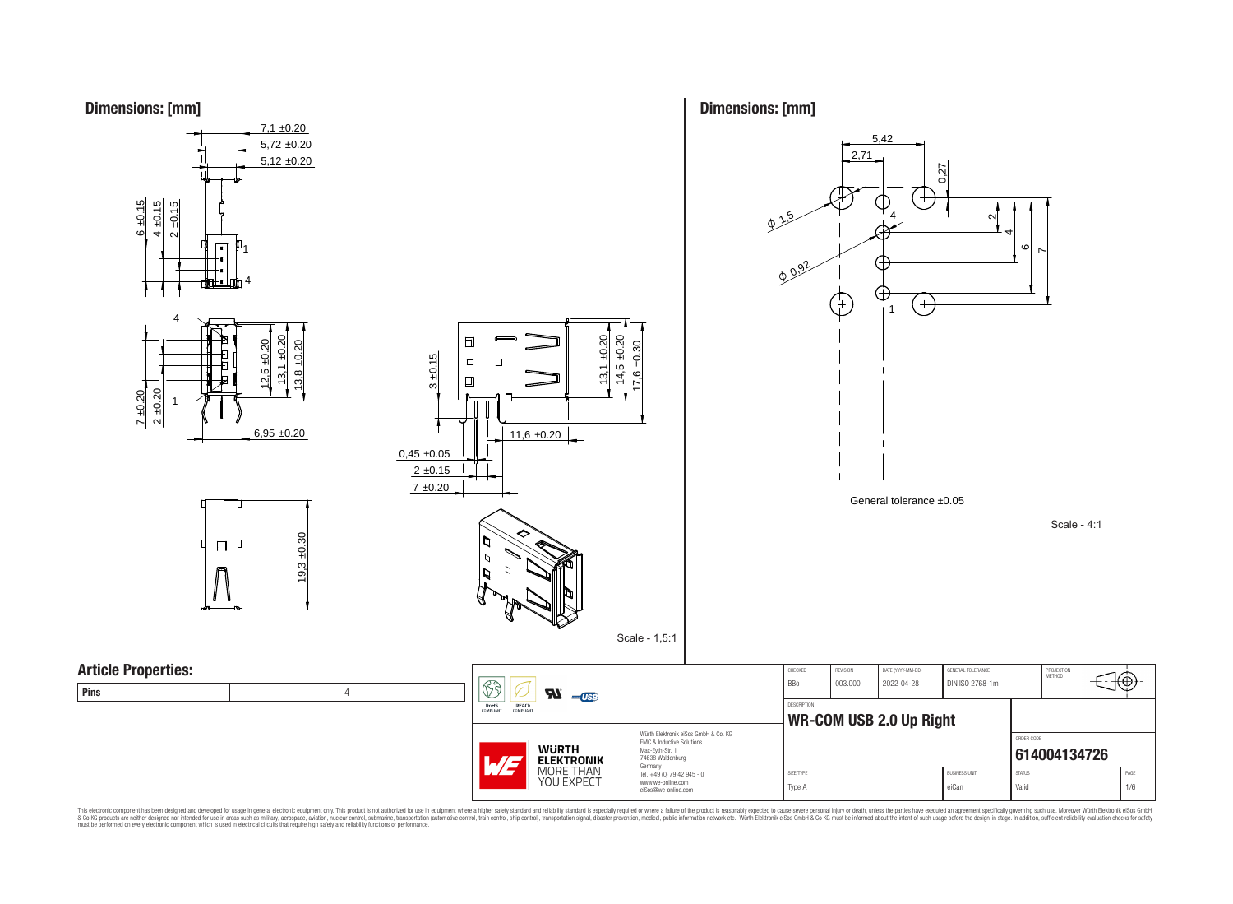**Dimensions: [mm]**



**Dimensions: [mm]**

This electronic component has been designed and developed for usage in general electronic equipment only. This product is not authorized for subserved requipment where a higher selection equipment where a higher selection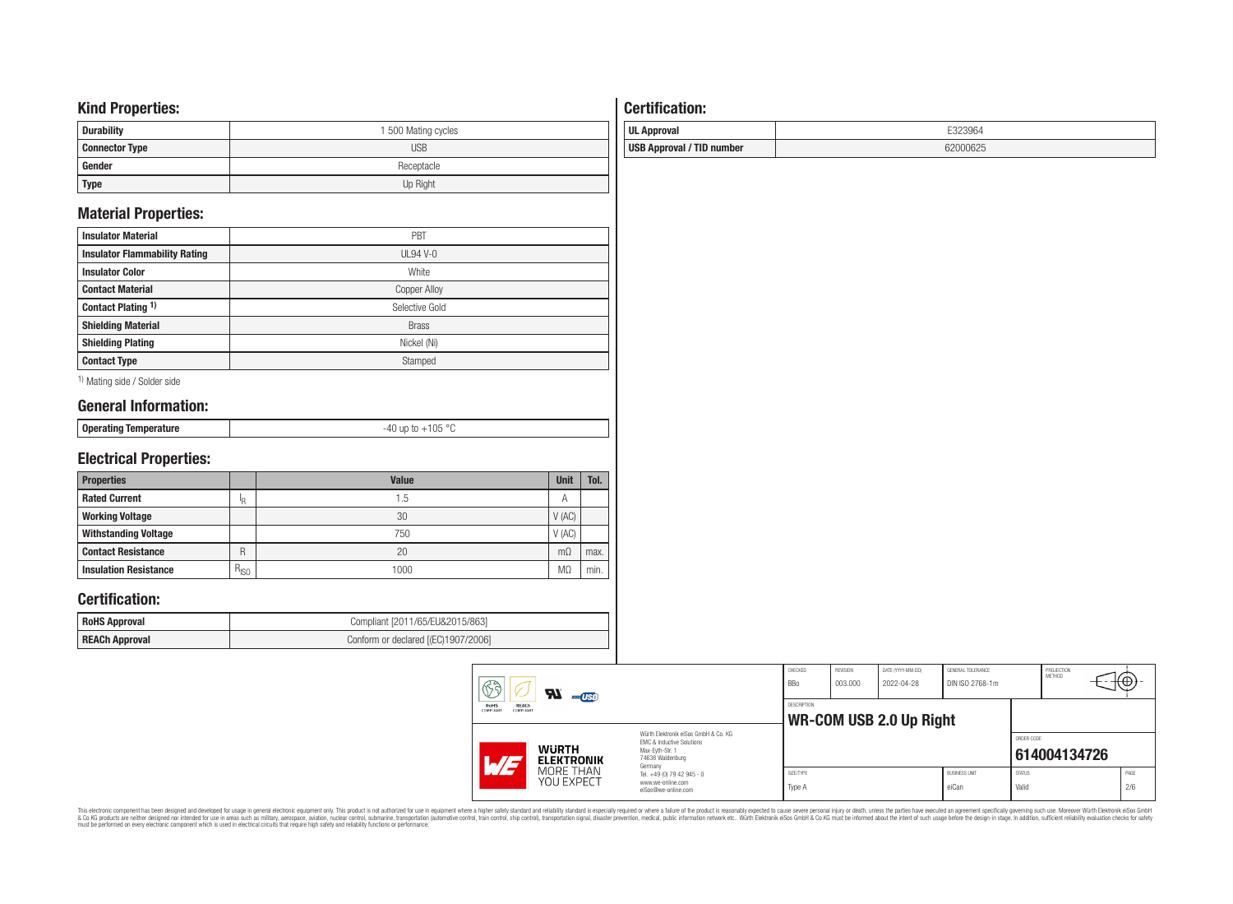# **Kind Properties:**

| <b>Durability</b>     | 1 500 Mating cycles |
|-----------------------|---------------------|
| <b>Connector Type</b> | <b>USB</b>          |
| Gender                | Receptacle          |
| <b>Type</b>           | Up Right            |

# **Material Properties:**

| <b>Insulator Material</b>            | PBT                 |
|--------------------------------------|---------------------|
| <b>Insulator Flammability Rating</b> | $UL94V-0$           |
| <b>Insulator Color</b>               | White               |
| <b>Contact Material</b>              | <b>Copper Alloy</b> |
| Contact Plating 1)                   | Selective Gold      |
| <b>Shielding Material</b>            | <b>Brass</b>        |
| <b>Shielding Plating</b>             | Nickel (Ni)         |
| <b>Contact Type</b>                  | Stamped             |

1) Mating side / Solder side

# **General Information:**

|  |  | Operating Temperature |
|--|--|-----------------------|
|--|--|-----------------------|

# **Electrical Properties:**

| <b>Properties</b>            |           | <b>Value</b> | <b>Unit</b> | Tol. |
|------------------------------|-----------|--------------|-------------|------|
| <b>Rated Current</b>         | ΙR        | 1.5          | Α           |      |
| <b>Working Voltage</b>       |           | 30           | V(AC)       |      |
| <b>Withstanding Voltage</b>  |           | 750          | V(AC)       |      |
| <b>Contact Resistance</b>    | R         | 20           | $m\Omega$   | max. |
| <b>Insulation Resistance</b> | $R_{ISO}$ | 1000         | MΩ          | min. |

-40 up to +105 °C

### **Certification:**

| <b>RoHS Approval</b> | Compliant [2011/65/EU&2015/863]     |
|----------------------|-------------------------------------|
| REACh Approval       | Conform or declared [(EC)1907/2006] |

# **Certification: UL Approval** E323964 **USB Approval / TID number** 62000625

|  | 63<br>$\boldsymbol{z}$<br>$-$ USB<br>REACh<br>RoHS<br>COMPLIANT<br>COMPLIANT<br>Würth Flektronik eiSos GmbH & Co. KG<br>EMC & Inductive Solutions<br><b>WURTH</b><br>Max-Evth-Str. 1<br>74638 Waldenburg<br><b>ELEKTRONIK</b><br>$\mathcal{L}$<br>Germany |                                                                        | CHECKED<br><b>BBo</b>                         | REVISION<br>003.000 | DATE (YYYY-MM-DD)<br>2022-04-28 | GENERAL TOLERANCE<br>DIN ISO 2768-1m |                        | PROJECTION<br><b>METHOD</b> | ᡢ᠊ᡦᡃ        |  |
|--|-----------------------------------------------------------------------------------------------------------------------------------------------------------------------------------------------------------------------------------------------------------|------------------------------------------------------------------------|-----------------------------------------------|---------------------|---------------------------------|--------------------------------------|------------------------|-----------------------------|-------------|--|
|  |                                                                                                                                                                                                                                                           |                                                                        | DESCRIPTION<br><b>WR-COM USB 2.0 Up Right</b> |                     |                                 |                                      |                        |                             |             |  |
|  |                                                                                                                                                                                                                                                           |                                                                        |                                               |                     |                                 |                                      | ORDER CODE             | 614004134726                |             |  |
|  | MORE THAN<br>YOU EXPECT                                                                                                                                                                                                                                   | Tel. +49 (0) 79 42 945 - 0<br>www.we-online.com<br>eiSos@we-online.com | SIZE/TYPE<br>Type A                           |                     |                                 | <b>BUSINESS UNIT</b><br>eiCan        | <b>STATUS</b><br>Valid |                             | PAGE<br>2/6 |  |

This electronic component has been designed and developed for usage in general electronic equipment only. This product is not authorized for subserved requipment where a higher selection equipment where a higher selection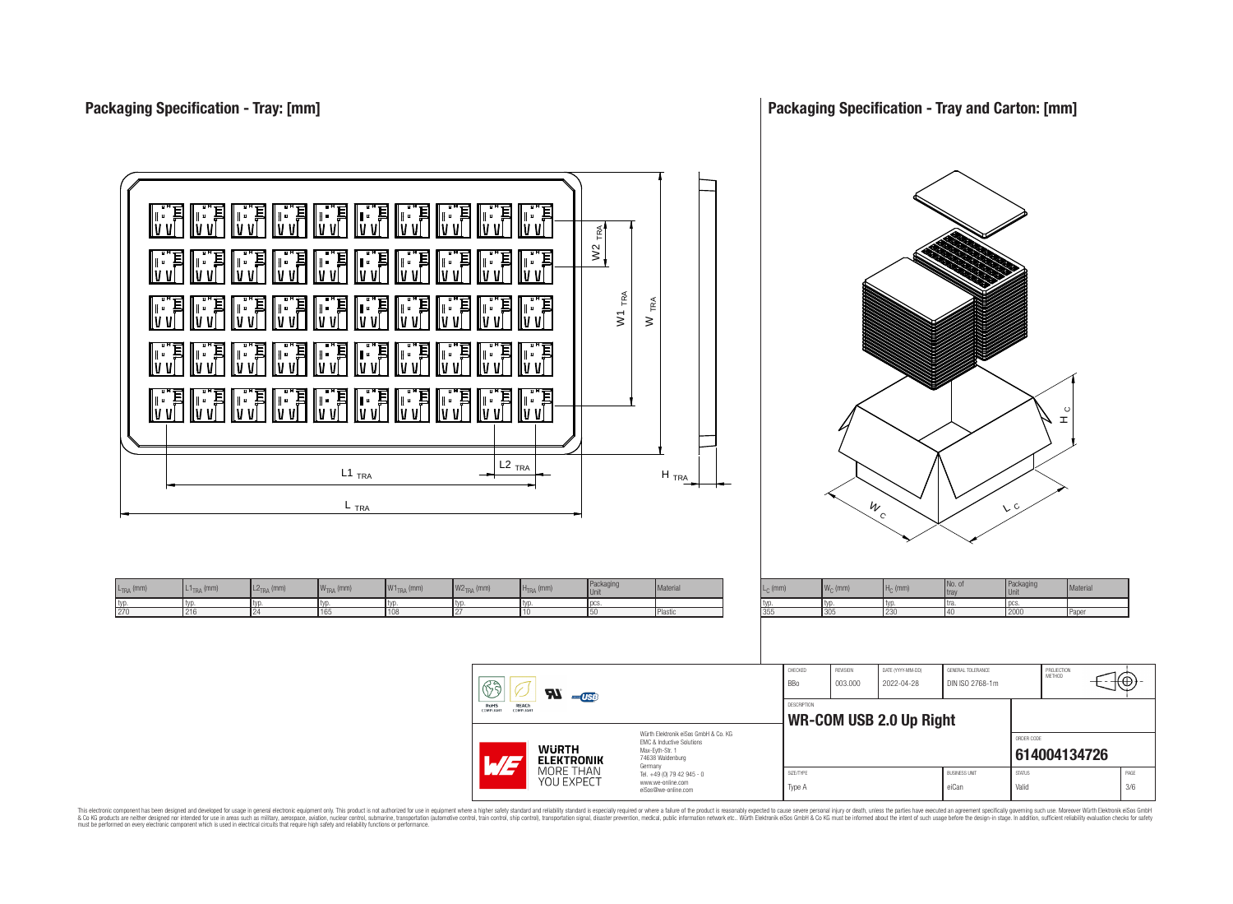

This electronic component has been designed and developed for usage in general electronic equipment only. This product is not authorized for use in equipment where a higher safely standard and reliability standard si espec & Ook product a label and the membed of the seasuch as marked and as which such a membed and the such assume that income in the seasuch and the simulation and the such assume that include to the such a membed and the such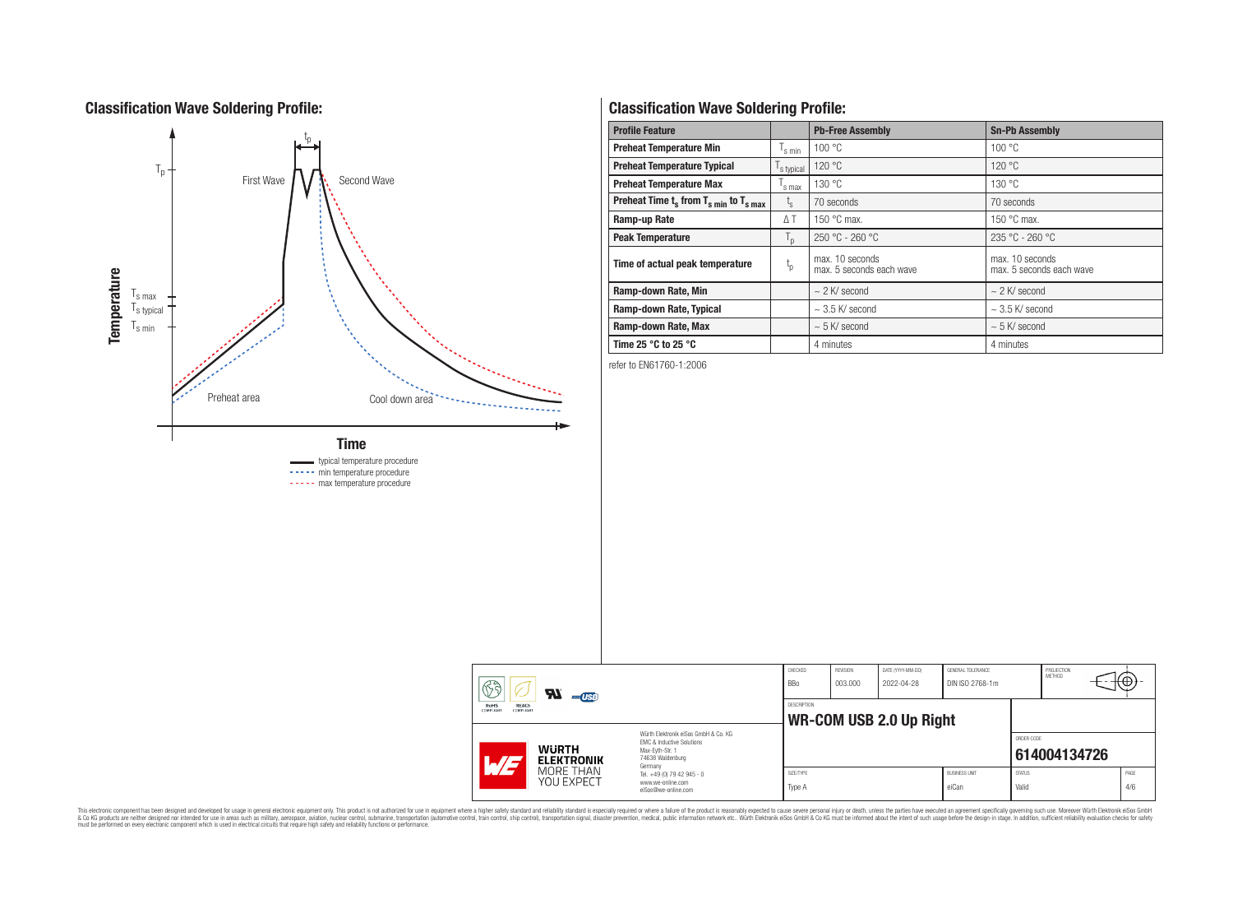# **Classification Wave Soldering Profile:**



----- min temperature procedure

----- max temperature procedure

# **Classification Wave Soldering Profile:**

| <b>Profile Feature</b>                                               |                  | <b>Pb-Free Assembly</b>                     | <b>Sn-Pb Assembly</b>                       |  |  |
|----------------------------------------------------------------------|------------------|---------------------------------------------|---------------------------------------------|--|--|
| <b>Preheat Temperature Min</b>                                       | s min            | 100 °C                                      | 100 °C                                      |  |  |
| <b>Preheat Temperature Typical</b>                                   | s typical        | 120 °C                                      | 120 °C                                      |  |  |
| <b>Preheat Temperature Max</b>                                       | s max            | 130 °C                                      | 130 °C                                      |  |  |
| Preheat Time $t_s$ from $T_s$ <sub>min</sub> to $T_s$ <sub>max</sub> | $t_{\rm s}$      | 70 seconds                                  | 70 seconds                                  |  |  |
| Ramp-up Rate                                                         | ΔΤ               | 150 $\degree$ C max.                        | 150 $\degree$ C max.                        |  |  |
| <b>Peak Temperature</b>                                              | $T_{\mathsf{D}}$ | $250 °C - 260 °C$                           | $235 °C - 260 °C$                           |  |  |
| Time of actual peak temperature                                      | $t_{p}$          | max. 10 seconds<br>max. 5 seconds each wave | max. 10 seconds<br>max. 5 seconds each wave |  |  |
| Ramp-down Rate, Min                                                  |                  | $\sim$ 2 K/ second                          | $\sim$ 2 K/ second                          |  |  |
| Ramp-down Rate, Typical                                              |                  | $\sim$ 3.5 K/ second                        | $\sim$ 3.5 K/ second                        |  |  |
| Ramp-down Rate, Max                                                  |                  | $\sim$ 5 K/ second                          | $~5$ K/ second                              |  |  |
| Time 25 $\degree$ C to 25 $\degree$ C                                |                  | 4 minutes                                   | 4 minutes                                   |  |  |

refer to EN61760-1:2006

|  | 63<br><b>R</b>                                                                                                                                                                                                           | $-$ USB                 |                                                                        | CHECKED<br><b>BBo</b> | REVISION<br>003.000 | DATE (YYYY-MM-DD)<br>2022-04-28 | GENERAL TOLERANCE<br>DIN ISO 2768-1m |                        | PROJECTION<br><b>METHOD</b> |             |
|--|--------------------------------------------------------------------------------------------------------------------------------------------------------------------------------------------------------------------------|-------------------------|------------------------------------------------------------------------|-----------------------|---------------------|---------------------------------|--------------------------------------|------------------------|-----------------------------|-------------|
|  | RoHS<br><b>REACh</b><br><b>COMPLIANT</b><br>COMPLIANT<br>Würth Flektronik eiSos GmbH & Co. KG<br>FMC & Inductive Solutions<br><b>WURTH</b><br>Max-Evth-Str. 1<br>74638 Waldenburg<br><b>ELEKTRONIK</b><br>$\blacksquare$ |                         | DESCRIPTION<br><b>WR-COM USB 2.0 Up Right</b>                          |                       |                     |                                 |                                      |                        |                             |             |
|  |                                                                                                                                                                                                                          |                         | Germany                                                                |                       |                     |                                 |                                      | ORDER CODE             | 614004134726                |             |
|  |                                                                                                                                                                                                                          | MORE THAN<br>YOU EXPECT | Tel. +49 (0) 79 42 945 - 0<br>www.we-online.com<br>eiSos@we-online.com | SIZE/TYPE<br>Type A   |                     |                                 | <b>BUSINESS UNIT</b><br>eiCan        | <b>STATUS</b><br>Valid |                             | PAGE<br>4/6 |

This electronic component has been designed and developed for usage in general electronic equipment only. This product is not authorized for subserved requipment where a higher selection equipment where a higher selection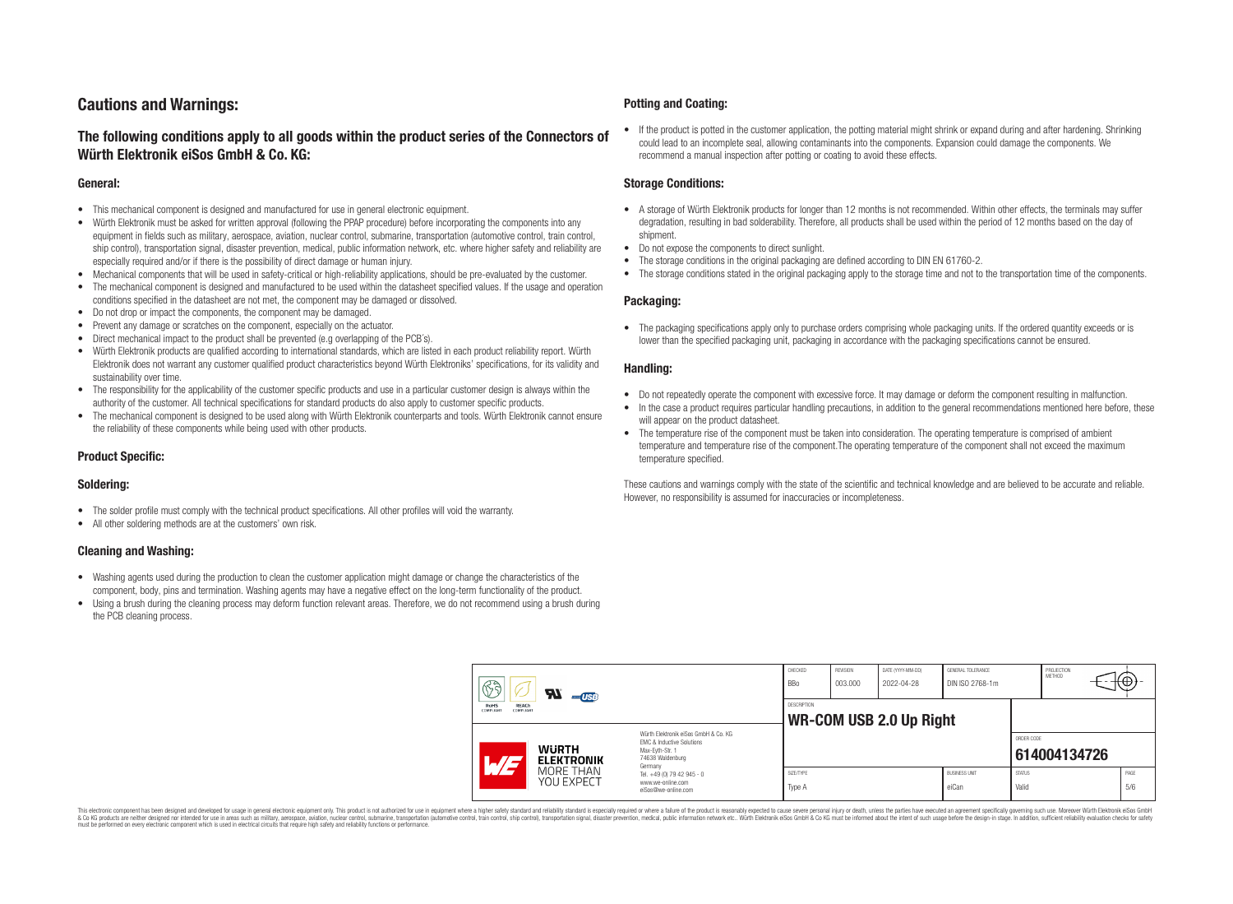# **Cautions and Warnings:**

### **The following conditions apply to all goods within the product series of the Connectors of Würth Elektronik eiSos GmbH & Co. KG:**

#### **General:**

- This mechanical component is designed and manufactured for use in general electronic equipment.
- Würth Elektronik must be asked for written approval (following the PPAP procedure) before incorporating the components into any equipment in fields such as military, aerospace, aviation, nuclear control, submarine, transportation (automotive control, train control, ship control), transportation signal, disaster prevention, medical, public information network, etc. where higher safety and reliability are especially required and/or if there is the possibility of direct damage or human injury.
- Mechanical components that will be used in safety-critical or high-reliability applications, should be pre-evaluated by the customer.
- The mechanical component is designed and manufactured to be used within the datasheet specified values. If the usage and operation conditions specified in the datasheet are not met, the component may be damaged or dissolved.
- Do not drop or impact the components, the component may be damaged.
- Prevent any damage or scratches on the component, especially on the actuator.
- Direct mechanical impact to the product shall be prevented (e.g overlapping of the PCB's).
- Würth Elektronik products are qualified according to international standards, which are listed in each product reliability report. Würth Elektronik does not warrant any customer qualified product characteristics beyond Würth Elektroniks' specifications, for its validity and sustainability over time.
- The responsibility for the applicability of the customer specific products and use in a particular customer design is always within the authority of the customer. All technical specifications for standard products do also apply to customer specific products.
- The mechanical component is designed to be used along with Würth Elektronik counterparts and tools. Würth Elektronik cannot ensure the reliability of these components while being used with other products.

### **Product Specific:**

#### **Soldering:**

- The solder profile must comply with the technical product specifications. All other profiles will void the warranty.
- All other soldering methods are at the customers' own risk.

#### **Cleaning and Washing:**

- Washing agents used during the production to clean the customer application might damage or change the characteristics of the component, body, pins and termination. Washing agents may have a negative effect on the long-term functionality of the product.
- Using a brush during the cleaning process may deform function relevant areas. Therefore, we do not recommend using a brush during the PCB cleaning process.

#### **Potting and Coating:**

• If the product is potted in the customer application, the potting material might shrink or expand during and after hardening. Shrinking could lead to an incomplete seal, allowing contaminants into the components. Expansion could damage the components. We recommend a manual inspection after potting or coating to avoid these effects.

#### **Storage Conditions:**

- A storage of Würth Elektronik products for longer than 12 months is not recommended. Within other effects, the terminals may suffer degradation, resulting in bad solderability. Therefore, all products shall be used within the period of 12 months based on the day of shipment.
- Do not expose the components to direct sunlight.
- The storage conditions in the original packaging are defined according to DIN EN 61760-2.
- The storage conditions stated in the original packaging apply to the storage time and not to the transportation time of the components.

#### **Packaging:**

• The packaging specifications apply only to purchase orders comprising whole packaging units. If the ordered quantity exceeds or is lower than the specified packaging unit, packaging in accordance with the packaging specifications cannot be ensured.

#### **Handling:**

- Do not repeatedly operate the component with excessive force. It may damage or deform the component resulting in malfunction.
- In the case a product requires particular handling precautions, in addition to the general recommendations mentioned here before, these will appear on the product datasheet
- The temperature rise of the component must be taken into consideration. The operating temperature is comprised of ambient temperature and temperature rise of the component.The operating temperature of the component shall not exceed the maximum temperature specified.

These cautions and warnings comply with the state of the scientific and technical knowledge and are believed to be accurate and reliable. However, no responsibility is assumed for inaccuracies or incompleteness.

| $\mathbb{G}$<br>$\boldsymbol{\mathcal{H}}$<br>$-$ USB<br><b>RoHS</b><br>REACh<br><b>COMPLIANT</b><br>COMPLIANT |                                                                                                                     | CHECKED<br><b>BBo</b>                         | <b>REVISION</b><br>003.000 | DATE (YYYY-MM-DD)<br>2022-04-28 | GENERAL TOLERANCE<br>DIN ISO 2768-1m |                        | PROJECTION<br>METHOD | ⊬⊕∶         |
|----------------------------------------------------------------------------------------------------------------|---------------------------------------------------------------------------------------------------------------------|-----------------------------------------------|----------------------------|---------------------------------|--------------------------------------|------------------------|----------------------|-------------|
|                                                                                                                |                                                                                                                     | DESCRIPTION<br><b>WR-COM USB 2.0 Up Right</b> |                            |                                 |                                      |                        |                      |             |
| <b>WURTH</b><br>L/E<br><b>ELEKTRONIK</b>                                                                       | Würth Elektronik eiSos GmbH & Co. KG<br>EMC & Inductive Solutions<br>Max-Evth-Str. 1<br>74638 Waldenburg<br>Germany |                                               |                            |                                 |                                      | ORDER CODE             | 614004134726         |             |
| MORE THAN<br>YOU EXPECT                                                                                        | Tel. +49 (0) 79 42 945 - 0<br>www.we-online.com<br>eiSos@we-online.com                                              | SIZE/TYPE<br>Type A                           |                            |                                 | <b>BUSINESS UNIT</b><br>eiCan        | <b>STATUS</b><br>Valid |                      | PAGE<br>5/6 |

This electronic component has been designed and developed for usage in general electronic equipment only. This product is not authorized for use in equipment where a higher safety standard and reliability standard si espec & Ook product a label and the membed of the seasuch as marked and as which such a membed and the such assume that income in the seasuch and the simulation and the such assume that include to the such a membed and the such